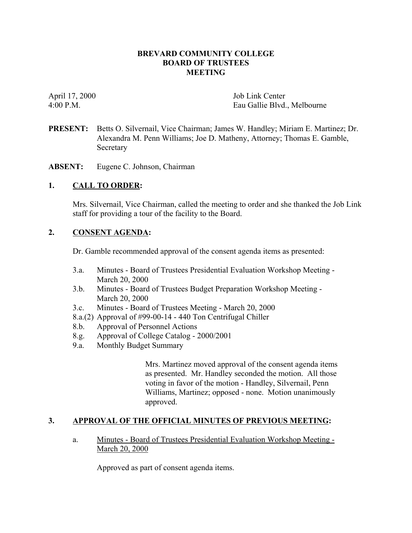## **BREVARD COMMUNITY COLLEGE BOARD OF TRUSTEES MEETING**

April 17, 2000 Job Link Center 4:00 P.M. Eau Gallie Blvd., Melbourne

- **PRESENT:** Betts O. Silvernail, Vice Chairman; James W. Handley; Miriam E. Martinez; Dr. Alexandra M. Penn Williams; Joe D. Matheny, Attorney; Thomas E. Gamble, Secretary
- **ABSENT:** Eugene C. Johnson, Chairman

# **1. CALL TO ORDER:**

Mrs. Silvernail, Vice Chairman, called the meeting to order and she thanked the Job Link staff for providing a tour of the facility to the Board.

# **2. CONSENT AGENDA:**

Dr. Gamble recommended approval of the consent agenda items as presented:

- 3.a. Minutes Board of Trustees Presidential Evaluation Workshop Meeting March 20, 2000
- 3.b. Minutes Board of Trustees Budget Preparation Workshop Meeting March 20, 2000
- 3.c. Minutes Board of Trustees Meeting March 20, 2000
- 8.a.(2) Approval of #99-00-14 440 Ton Centrifugal Chiller
- 8.b. Approval of Personnel Actions
- 8.g. Approval of College Catalog 2000/2001
- 9.a. Monthly Budget Summary

Mrs. Martinez moved approval of the consent agenda items as presented. Mr. Handley seconded the motion. All those voting in favor of the motion - Handley, Silvernail, Penn Williams, Martinez; opposed - none. Motion unanimously approved.

# **3. APPROVAL OF THE OFFICIAL MINUTES OF PREVIOUS MEETING:**

a. Minutes - Board of Trustees Presidential Evaluation Workshop Meeting - March 20, 2000

Approved as part of consent agenda items.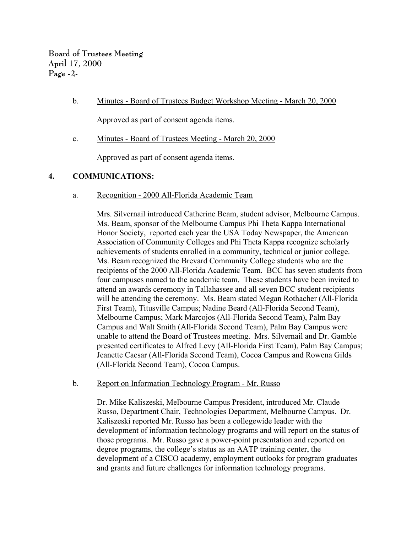b. Minutes - Board of Trustees Budget Workshop Meeting - March 20, 2000

Approved as part of consent agenda items.

c. Minutes - Board of Trustees Meeting - March 20, 2000

Approved as part of consent agenda items.

## **4. COMMUNICATIONS:**

### a. Recognition - 2000 All-Florida Academic Team

Mrs. Silvernail introduced Catherine Beam, student advisor, Melbourne Campus. Ms. Beam, sponsor of the Melbourne Campus Phi Theta Kappa International Honor Society, reported each year the USA Today Newspaper, the American Association of Community Colleges and Phi Theta Kappa recognize scholarly achievements of students enrolled in a community, technical or junior college. Ms. Beam recognized the Brevard Community College students who are the recipients of the 2000 All-Florida Academic Team. BCC has seven students from four campuses named to the academic team. These students have been invited to attend an awards ceremony in Tallahassee and all seven BCC student recipients will be attending the ceremony. Ms. Beam stated Megan Rothacher (All-Florida First Team), Titusville Campus; Nadine Beard (All-Florida Second Team), Melbourne Campus; Mark Marcojos (All-Florida Second Team), Palm Bay Campus and Walt Smith (All-Florida Second Team), Palm Bay Campus were unable to attend the Board of Trustees meeting. Mrs. Silvernail and Dr. Gamble presented certificates to Alfred Levy (All-Florida First Team), Palm Bay Campus; Jeanette Caesar (All-Florida Second Team), Cocoa Campus and Rowena Gilds (All-Florida Second Team), Cocoa Campus.

### b. Report on Information Technology Program - Mr. Russo

Dr. Mike Kaliszeski, Melbourne Campus President, introduced Mr. Claude Russo, Department Chair, Technologies Department, Melbourne Campus. Dr. Kaliszeski reported Mr. Russo has been a collegewide leader with the development of information technology programs and will report on the status of those programs. Mr. Russo gave a power-point presentation and reported on degree programs, the college's status as an AATP training center, the development of a CISCO academy, employment outlooks for program graduates and grants and future challenges for information technology programs.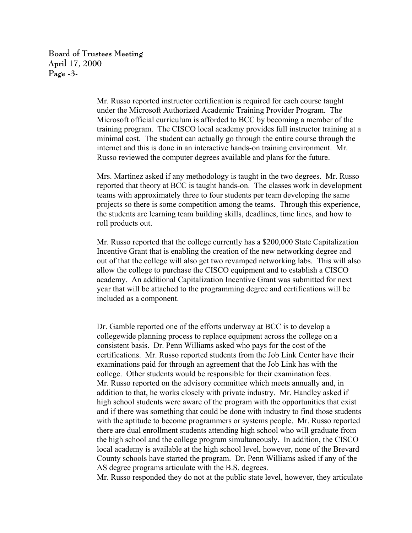**Board of Trustees Meeting April 17, 2000 Page -3-**

> Mr. Russo reported instructor certification is required for each course taught under the Microsoft Authorized Academic Training Provider Program. The Microsoft official curriculum is afforded to BCC by becoming a member of the training program. The CISCO local academy provides full instructor training at a minimal cost. The student can actually go through the entire course through the internet and this is done in an interactive hands-on training environment. Mr. Russo reviewed the computer degrees available and plans for the future.

> Mrs. Martinez asked if any methodology is taught in the two degrees. Mr. Russo reported that theory at BCC is taught hands-on. The classes work in development teams with approximately three to four students per team developing the same projects so there is some competition among the teams. Through this experience, the students are learning team building skills, deadlines, time lines, and how to roll products out.

> Mr. Russo reported that the college currently has a \$200,000 State Capitalization Incentive Grant that is enabling the creation of the new networking degree and out of that the college will also get two revamped networking labs. This will also allow the college to purchase the CISCO equipment and to establish a CISCO academy. An additional Capitalization Incentive Grant was submitted for next year that will be attached to the programming degree and certifications will be included as a component.

> Dr. Gamble reported one of the efforts underway at BCC is to develop a collegewide planning process to replace equipment across the college on a consistent basis. Dr. Penn Williams asked who pays for the cost of the certifications. Mr. Russo reported students from the Job Link Center have their examinations paid for through an agreement that the Job Link has with the college. Other students would be responsible for their examination fees. Mr. Russo reported on the advisory committee which meets annually and, in addition to that, he works closely with private industry. Mr. Handley asked if high school students were aware of the program with the opportunities that exist and if there was something that could be done with industry to find those students with the aptitude to become programmers or systems people. Mr. Russo reported there are dual enrollment students attending high school who will graduate from the high school and the college program simultaneously. In addition, the CISCO local academy is available at the high school level, however, none of the Brevard County schools have started the program. Dr. Penn Williams asked if any of the AS degree programs articulate with the B.S. degrees.

> Mr. Russo responded they do not at the public state level, however, they articulate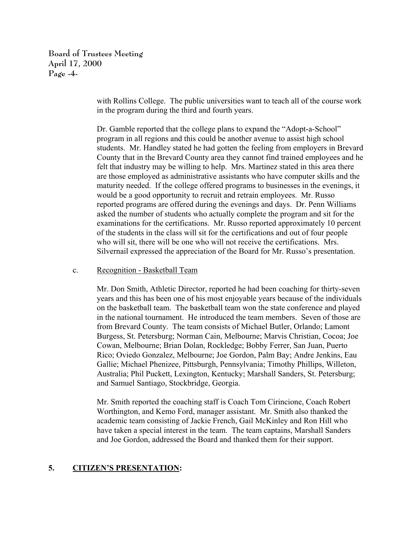**Board of Trustees Meeting April 17, 2000 Page -4-**

> with Rollins College. The public universities want to teach all of the course work in the program during the third and fourth years.

> Dr. Gamble reported that the college plans to expand the "Adopt-a-School" program in all regions and this could be another avenue to assist high school students. Mr. Handley stated he had gotten the feeling from employers in Brevard County that in the Brevard County area they cannot find trained employees and he felt that industry may be willing to help. Mrs. Martinez stated in this area there are those employed as administrative assistants who have computer skills and the maturity needed. If the college offered programs to businesses in the evenings, it would be a good opportunity to recruit and retrain employees. Mr. Russo reported programs are offered during the evenings and days. Dr. Penn Williams asked the number of students who actually complete the program and sit for the examinations for the certifications. Mr. Russo reported approximately 10 percent of the students in the class will sit for the certifications and out of four people who will sit, there will be one who will not receive the certifications. Mrs. Silvernail expressed the appreciation of the Board for Mr. Russo's presentation.

### c. Recognition - Basketball Team

Mr. Don Smith, Athletic Director, reported he had been coaching for thirty-seven years and this has been one of his most enjoyable years because of the individuals on the basketball team. The basketball team won the state conference and played in the national tournament. He introduced the team members. Seven of those are from Brevard County. The team consists of Michael Butler, Orlando; Lamont Burgess, St. Petersburg; Norman Cain, Melbourne; Marvis Christian, Cocoa; Joe Cowan, Melbourne; Brian Dolan, Rockledge; Bobby Ferrer, San Juan, Puerto Rico; Oviedo Gonzalez, Melbourne; Joe Gordon, Palm Bay; Andre Jenkins, Eau Gallie; Michael Phenizee, Pittsburgh, Pennsylvania; Timothy Phillips, Willeton, Australia; Phil Puckett, Lexington, Kentucky; Marshall Sanders, St. Petersburg; and Samuel Santiago, Stockbridge, Georgia.

Mr. Smith reported the coaching staff is Coach Tom Cirincione, Coach Robert Worthington, and Kemo Ford, manager assistant. Mr. Smith also thanked the academic team consisting of Jackie French, Gail McKinley and Ron Hill who have taken a special interest in the team. The team captains, Marshall Sanders and Joe Gordon, addressed the Board and thanked them for their support.

# **5. CITIZEN'S PRESENTATION:**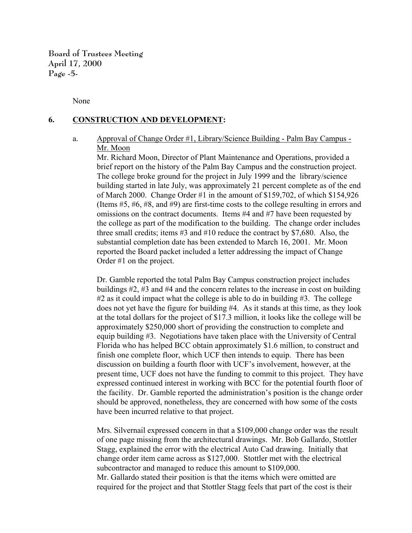**Board of Trustees Meeting April 17, 2000 Page -5-**

None

### **6. CONSTRUCTION AND DEVELOPMENT:**

a. Approval of Change Order #1, Library/Science Building - Palm Bay Campus - Mr. Moon

Mr. Richard Moon, Director of Plant Maintenance and Operations, provided a brief report on the history of the Palm Bay Campus and the construction project. The college broke ground for the project in July 1999 and the library/science building started in late July, was approximately 21 percent complete as of the end of March 2000. Change Order #1 in the amount of \$159,702, of which \$154,926 (Items #5, #6, #8, and #9) are first-time costs to the college resulting in errors and omissions on the contract documents. Items #4 and #7 have been requested by the college as part of the modification to the building. The change order includes three small credits; items #3 and #10 reduce the contract by \$7,680. Also, the substantial completion date has been extended to March 16, 2001. Mr. Moon reported the Board packet included a letter addressing the impact of Change Order #1 on the project.

Dr. Gamble reported the total Palm Bay Campus construction project includes buildings #2, #3 and #4 and the concern relates to the increase in cost on building  $#2$  as it could impact what the college is able to do in building  $#3$ . The college does not yet have the figure for building #4. As it stands at this time, as they look at the total dollars for the project of \$17.3 million, it looks like the college will be approximately \$250,000 short of providing the construction to complete and equip building #3. Negotiations have taken place with the University of Central Florida who has helped BCC obtain approximately \$1.6 million, to construct and finish one complete floor, which UCF then intends to equip. There has been discussion on building a fourth floor with UCF's involvement, however, at the present time, UCF does not have the funding to commit to this project. They have expressed continued interest in working with BCC for the potential fourth floor of the facility. Dr. Gamble reported the administration's position is the change order should be approved, nonetheless, they are concerned with how some of the costs have been incurred relative to that project.

Mrs. Silvernail expressed concern in that a \$109,000 change order was the result of one page missing from the architectural drawings. Mr. Bob Gallardo, Stottler Stagg, explained the error with the electrical Auto Cad drawing. Initially that change order item came across as \$127,000. Stottler met with the electrical subcontractor and managed to reduce this amount to \$109,000. Mr. Gallardo stated their position is that the items which were omitted are required for the project and that Stottler Stagg feels that part of the cost is their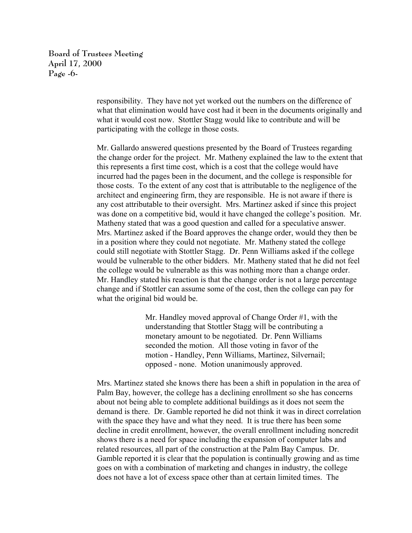**Board of Trustees Meeting April 17, 2000 Page -6-**

> responsibility. They have not yet worked out the numbers on the difference of what that elimination would have cost had it been in the documents originally and what it would cost now. Stottler Stagg would like to contribute and will be participating with the college in those costs.

> Mr. Gallardo answered questions presented by the Board of Trustees regarding the change order for the project. Mr. Matheny explained the law to the extent that this represents a first time cost, which is a cost that the college would have incurred had the pages been in the document, and the college is responsible for those costs. To the extent of any cost that is attributable to the negligence of the architect and engineering firm, they are responsible. He is not aware if there is any cost attributable to their oversight. Mrs. Martinez asked if since this project was done on a competitive bid, would it have changed the college's position. Mr. Matheny stated that was a good question and called for a speculative answer. Mrs. Martinez asked if the Board approves the change order, would they then be in a position where they could not negotiate. Mr. Matheny stated the college could still negotiate with Stottler Stagg. Dr. Penn Williams asked if the college would be vulnerable to the other bidders. Mr. Matheny stated that he did not feel the college would be vulnerable as this was nothing more than a change order. Mr. Handley stated his reaction is that the change order is not a large percentage change and if Stottler can assume some of the cost, then the college can pay for what the original bid would be.

> > Mr. Handley moved approval of Change Order #1, with the understanding that Stottler Stagg will be contributing a monetary amount to be negotiated. Dr. Penn Williams seconded the motion. All those voting in favor of the motion - Handley, Penn Williams, Martinez, Silvernail; opposed - none. Motion unanimously approved.

Mrs. Martinez stated she knows there has been a shift in population in the area of Palm Bay, however, the college has a declining enrollment so she has concerns about not being able to complete additional buildings as it does not seem the demand is there. Dr. Gamble reported he did not think it was in direct correlation with the space they have and what they need. It is true there has been some decline in credit enrollment, however, the overall enrollment including noncredit shows there is a need for space including the expansion of computer labs and related resources, all part of the construction at the Palm Bay Campus. Dr. Gamble reported it is clear that the population is continually growing and as time goes on with a combination of marketing and changes in industry, the college does not have a lot of excess space other than at certain limited times. The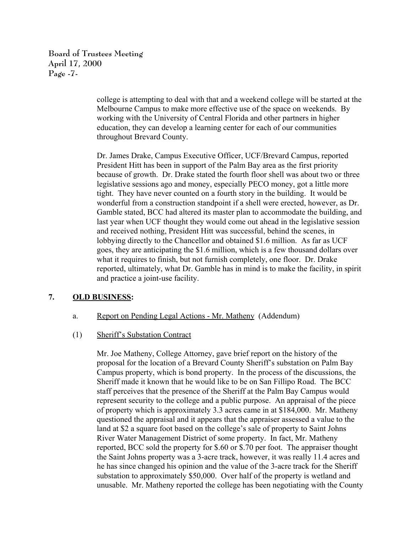**Board of Trustees Meeting April 17, 2000 Page -7-**

> college is attempting to deal with that and a weekend college will be started at the Melbourne Campus to make more effective use of the space on weekends. By working with the University of Central Florida and other partners in higher education, they can develop a learning center for each of our communities throughout Brevard County.

> Dr. James Drake, Campus Executive Officer, UCF/Brevard Campus, reported President Hitt has been in support of the Palm Bay area as the first priority because of growth. Dr. Drake stated the fourth floor shell was about two or three legislative sessions ago and money, especially PECO money, got a little more tight. They have never counted on a fourth story in the building. It would be wonderful from a construction standpoint if a shell were erected, however, as Dr. Gamble stated, BCC had altered its master plan to accommodate the building, and last year when UCF thought they would come out ahead in the legislative session and received nothing, President Hitt was successful, behind the scenes, in lobbying directly to the Chancellor and obtained \$1.6 million. As far as UCF goes, they are anticipating the \$1.6 million, which is a few thousand dollars over what it requires to finish, but not furnish completely, one floor. Dr. Drake reported, ultimately, what Dr. Gamble has in mind is to make the facility, in spirit and practice a joint-use facility.

# **7. OLD BUSINESS:**

- a. Report on Pending Legal Actions Mr. Matheny (Addendum)
- (1) Sheriff's Substation Contract

Mr. Joe Matheny, College Attorney, gave brief report on the history of the proposal for the location of a Brevard County Sheriff's substation on Palm Bay Campus property, which is bond property. In the process of the discussions, the Sheriff made it known that he would like to be on San Fillipo Road. The BCC staff perceives that the presence of the Sheriff at the Palm Bay Campus would represent security to the college and a public purpose. An appraisal of the piece of property which is approximately 3.3 acres came in at \$184,000. Mr. Matheny questioned the appraisal and it appears that the appraiser assessed a value to the land at \$2 a square foot based on the college's sale of property to Saint Johns River Water Management District of some property. In fact, Mr. Matheny reported, BCC sold the property for \$.60 or \$.70 per foot. The appraiser thought the Saint Johns property was a 3-acre track, however, it was really 11.4 acres and he has since changed his opinion and the value of the 3-acre track for the Sheriff substation to approximately \$50,000. Over half of the property is wetland and unusable. Mr. Matheny reported the college has been negotiating with the County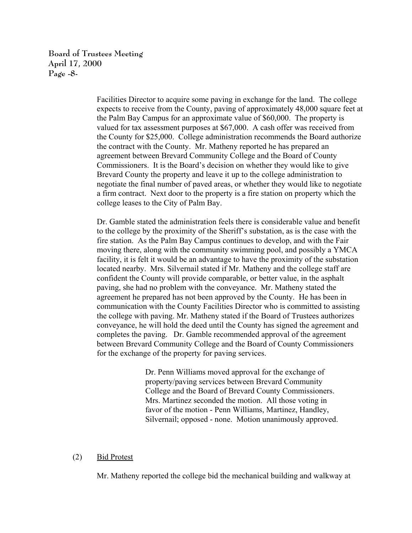**Board of Trustees Meeting April 17, 2000 Page -8-**

> Facilities Director to acquire some paving in exchange for the land. The college expects to receive from the County, paving of approximately 48,000 square feet at the Palm Bay Campus for an approximate value of \$60,000. The property is valued for tax assessment purposes at \$67,000. A cash offer was received from the County for \$25,000. College administration recommends the Board authorize the contract with the County. Mr. Matheny reported he has prepared an agreement between Brevard Community College and the Board of County Commissioners. It is the Board's decision on whether they would like to give Brevard County the property and leave it up to the college administration to negotiate the final number of paved areas, or whether they would like to negotiate a firm contract. Next door to the property is a fire station on property which the college leases to the City of Palm Bay.

Dr. Gamble stated the administration feels there is considerable value and benefit to the college by the proximity of the Sheriff's substation, as is the case with the fire station. As the Palm Bay Campus continues to develop, and with the Fair moving there, along with the community swimming pool, and possibly a YMCA facility, it is felt it would be an advantage to have the proximity of the substation located nearby. Mrs. Silvernail stated if Mr. Matheny and the college staff are confident the County will provide comparable, or better value, in the asphalt paving, she had no problem with the conveyance. Mr. Matheny stated the agreement he prepared has not been approved by the County. He has been in communication with the County Facilities Director who is committed to assisting the college with paving. Mr. Matheny stated if the Board of Trustees authorizes conveyance, he will hold the deed until the County has signed the agreement and completes the paving. Dr. Gamble recommended approval of the agreement between Brevard Community College and the Board of County Commissioners for the exchange of the property for paving services.

> Dr. Penn Williams moved approval for the exchange of property/paving services between Brevard Community College and the Board of Brevard County Commissioners. Mrs. Martinez seconded the motion. All those voting in favor of the motion - Penn Williams, Martinez, Handley, Silvernail; opposed - none. Motion unanimously approved.

### (2) Bid Protest

Mr. Matheny reported the college bid the mechanical building and walkway at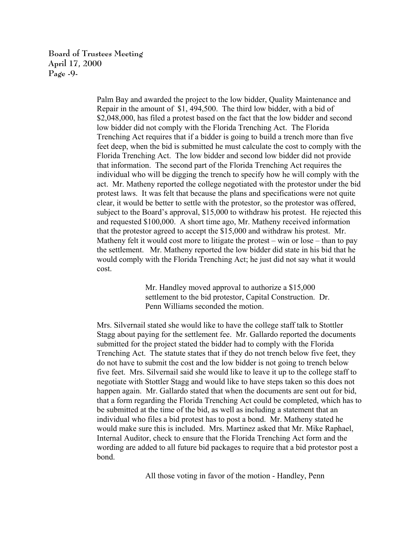**Board of Trustees Meeting April 17, 2000 Page -9-**

> Palm Bay and awarded the project to the low bidder, Quality Maintenance and Repair in the amount of \$1, 494,500. The third low bidder, with a bid of \$2,048,000, has filed a protest based on the fact that the low bidder and second low bidder did not comply with the Florida Trenching Act. The Florida Trenching Act requires that if a bidder is going to build a trench more than five feet deep, when the bid is submitted he must calculate the cost to comply with the Florida Trenching Act. The low bidder and second low bidder did not provide that information. The second part of the Florida Trenching Act requires the individual who will be digging the trench to specify how he will comply with the act. Mr. Matheny reported the college negotiated with the protestor under the bid protest laws. It was felt that because the plans and specifications were not quite clear, it would be better to settle with the protestor, so the protestor was offered, subject to the Board's approval, \$15,000 to withdraw his protest. He rejected this and requested \$100,000. A short time ago, Mr. Matheny received information that the protestor agreed to accept the \$15,000 and withdraw his protest. Mr. Matheny felt it would cost more to litigate the protest – win or lose – than to pay the settlement. Mr. Matheny reported the low bidder did state in his bid that he would comply with the Florida Trenching Act; he just did not say what it would cost.

> > Mr. Handley moved approval to authorize a \$15,000 settlement to the bid protestor, Capital Construction. Dr. Penn Williams seconded the motion.

Mrs. Silvernail stated she would like to have the college staff talk to Stottler Stagg about paying for the settlement fee. Mr. Gallardo reported the documents submitted for the project stated the bidder had to comply with the Florida Trenching Act. The statute states that if they do not trench below five feet, they do not have to submit the cost and the low bidder is not going to trench below five feet. Mrs. Silvernail said she would like to leave it up to the college staff to negotiate with Stottler Stagg and would like to have steps taken so this does not happen again. Mr. Gallardo stated that when the documents are sent out for bid, that a form regarding the Florida Trenching Act could be completed, which has to be submitted at the time of the bid, as well as including a statement that an individual who files a bid protest has to post a bond. Mr. Matheny stated he would make sure this is included. Mrs. Martinez asked that Mr. Mike Raphael, Internal Auditor, check to ensure that the Florida Trenching Act form and the wording are added to all future bid packages to require that a bid protestor post a bond.

All those voting in favor of the motion - Handley, Penn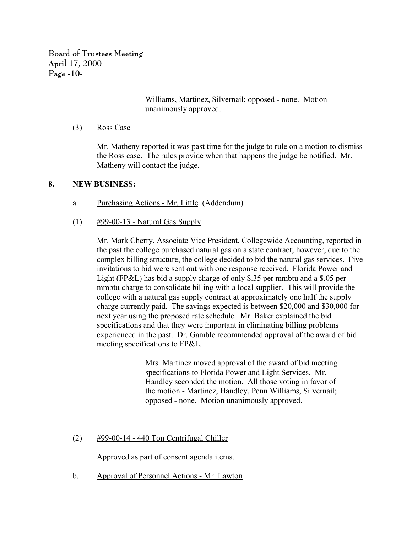**Board of Trustees Meeting April 17, 2000 Page -10-**

> Williams, Martinez, Silvernail; opposed - none. Motion unanimously approved.

(3) Ross Case

Mr. Matheny reported it was past time for the judge to rule on a motion to dismiss the Ross case. The rules provide when that happens the judge be notified. Mr. Matheny will contact the judge.

## **8. NEW BUSINESS:**

- a. Purchasing Actions Mr. Little (Addendum)
- (1) #99-00-13 Natural Gas Supply

Mr. Mark Cherry, Associate Vice President, Collegewide Accounting, reported in the past the college purchased natural gas on a state contract; however, due to the complex billing structure, the college decided to bid the natural gas services. Five invitations to bid were sent out with one response received. Florida Power and Light (FP&L) has bid a supply charge of only \$.35 per mmbtu and a \$.05 per mmbtu charge to consolidate billing with a local supplier. This will provide the college with a natural gas supply contract at approximately one half the supply charge currently paid. The savings expected is between \$20,000 and \$30,000 for next year using the proposed rate schedule. Mr. Baker explained the bid specifications and that they were important in eliminating billing problems experienced in the past. Dr. Gamble recommended approval of the award of bid meeting specifications to FP&L.

> Mrs. Martinez moved approval of the award of bid meeting specifications to Florida Power and Light Services. Mr. Handley seconded the motion. All those voting in favor of the motion - Martinez, Handley, Penn Williams, Silvernail; opposed - none. Motion unanimously approved.

# $(2)$  #99-00-14 - 440 Ton Centrifugal Chiller

Approved as part of consent agenda items.

b. Approval of Personnel Actions - Mr. Lawton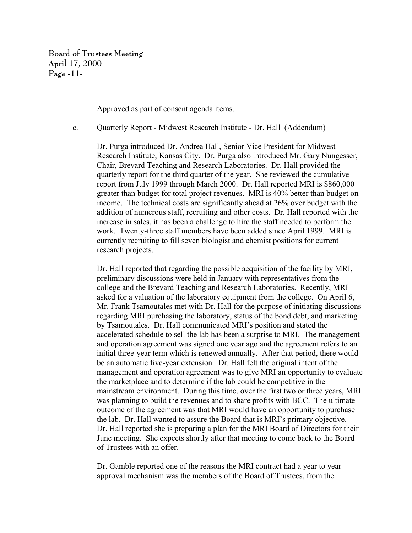**Board of Trustees Meeting April 17, 2000 Page -11-**

Approved as part of consent agenda items.

#### c. Quarterly Report - Midwest Research Institute - Dr. Hall (Addendum)

Dr. Purga introduced Dr. Andrea Hall, Senior Vice President for Midwest Research Institute, Kansas City. Dr. Purga also introduced Mr. Gary Nungesser, Chair, Brevard Teaching and Research Laboratories. Dr. Hall provided the quarterly report for the third quarter of the year. She reviewed the cumulative report from July 1999 through March 2000. Dr. Hall reported MRI is \$860,000 greater than budget for total project revenues. MRI is 40% better than budget on income. The technical costs are significantly ahead at 26% over budget with the addition of numerous staff, recruiting and other costs. Dr. Hall reported with the increase in sales, it has been a challenge to hire the staff needed to perform the work. Twenty-three staff members have been added since April 1999. MRI is currently recruiting to fill seven biologist and chemist positions for current research projects.

Dr. Hall reported that regarding the possible acquisition of the facility by MRI, preliminary discussions were held in January with representatives from the college and the Brevard Teaching and Research Laboratories. Recently, MRI asked for a valuation of the laboratory equipment from the college. On April 6, Mr. Frank Tsamoutales met with Dr. Hall for the purpose of initiating discussions regarding MRI purchasing the laboratory, status of the bond debt, and marketing by Tsamoutales. Dr. Hall communicated MRI's position and stated the accelerated schedule to sell the lab has been a surprise to MRI. The management and operation agreement was signed one year ago and the agreement refers to an initial three-year term which is renewed annually. After that period, there would be an automatic five-year extension. Dr. Hall felt the original intent of the management and operation agreement was to give MRI an opportunity to evaluate the marketplace and to determine if the lab could be competitive in the mainstream environment. During this time, over the first two or three years, MRI was planning to build the revenues and to share profits with BCC. The ultimate outcome of the agreement was that MRI would have an opportunity to purchase the lab. Dr. Hall wanted to assure the Board that is MRI's primary objective. Dr. Hall reported she is preparing a plan for the MRI Board of Directors for their June meeting. She expects shortly after that meeting to come back to the Board of Trustees with an offer.

Dr. Gamble reported one of the reasons the MRI contract had a year to year approval mechanism was the members of the Board of Trustees, from the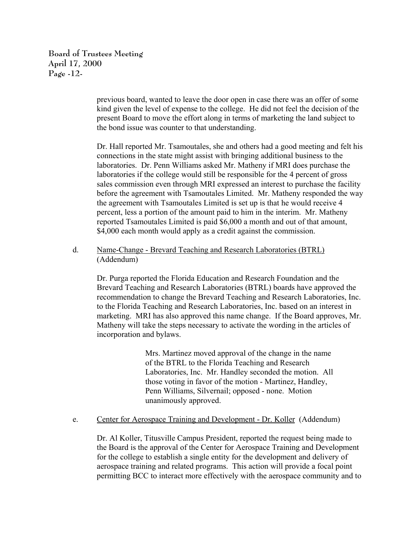**Board of Trustees Meeting April 17, 2000 Page -12-**

> previous board, wanted to leave the door open in case there was an offer of some kind given the level of expense to the college. He did not feel the decision of the present Board to move the effort along in terms of marketing the land subject to the bond issue was counter to that understanding.

Dr. Hall reported Mr. Tsamoutales, she and others had a good meeting and felt his connections in the state might assist with bringing additional business to the laboratories. Dr. Penn Williams asked Mr. Matheny if MRI does purchase the laboratories if the college would still be responsible for the 4 percent of gross sales commission even through MRI expressed an interest to purchase the facility before the agreement with Tsamoutales Limited. Mr. Matheny responded the way the agreement with Tsamoutales Limited is set up is that he would receive 4 percent, less a portion of the amount paid to him in the interim. Mr. Matheny reported Tsamoutales Limited is paid \$6,000 a month and out of that amount, \$4,000 each month would apply as a credit against the commission.

d. Name-Change - Brevard Teaching and Research Laboratories (BTRL) (Addendum)

Dr. Purga reported the Florida Education and Research Foundation and the Brevard Teaching and Research Laboratories (BTRL) boards have approved the recommendation to change the Brevard Teaching and Research Laboratories, Inc. to the Florida Teaching and Research Laboratories, Inc. based on an interest in marketing. MRI has also approved this name change. If the Board approves, Mr. Matheny will take the steps necessary to activate the wording in the articles of incorporation and bylaws.

> Mrs. Martinez moved approval of the change in the name of the BTRL to the Florida Teaching and Research Laboratories, Inc. Mr. Handley seconded the motion. All those voting in favor of the motion - Martinez, Handley, Penn Williams, Silvernail; opposed - none. Motion unanimously approved.

### e. Center for Aerospace Training and Development - Dr. Koller (Addendum)

Dr. Al Koller, Titusville Campus President, reported the request being made to the Board is the approval of the Center for Aerospace Training and Development for the college to establish a single entity for the development and delivery of aerospace training and related programs. This action will provide a focal point permitting BCC to interact more effectively with the aerospace community and to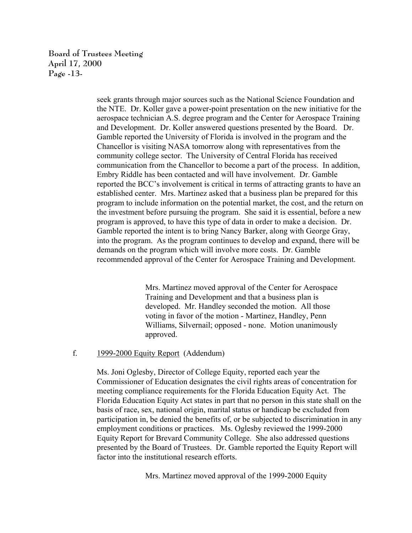**Board of Trustees Meeting April 17, 2000 Page -13-**

> seek grants through major sources such as the National Science Foundation and the NTE. Dr. Koller gave a power-point presentation on the new initiative for the aerospace technician A.S. degree program and the Center for Aerospace Training and Development. Dr. Koller answered questions presented by the Board. Dr. Gamble reported the University of Florida is involved in the program and the Chancellor is visiting NASA tomorrow along with representatives from the community college sector. The University of Central Florida has received communication from the Chancellor to become a part of the process. In addition, Embry Riddle has been contacted and will have involvement. Dr. Gamble reported the BCC's involvement is critical in terms of attracting grants to have an established center. Mrs. Martinez asked that a business plan be prepared for this program to include information on the potential market, the cost, and the return on the investment before pursuing the program. She said it is essential, before a new program is approved, to have this type of data in order to make a decision. Dr. Gamble reported the intent is to bring Nancy Barker, along with George Gray, into the program. As the program continues to develop and expand, there will be demands on the program which will involve more costs. Dr. Gamble recommended approval of the Center for Aerospace Training and Development.

> > Mrs. Martinez moved approval of the Center for Aerospace Training and Development and that a business plan is developed. Mr. Handley seconded the motion. All those voting in favor of the motion - Martinez, Handley, Penn Williams, Silvernail; opposed - none. Motion unanimously approved.

#### f. 1999-2000 Equity Report (Addendum)

Ms. Joni Oglesby, Director of College Equity, reported each year the Commissioner of Education designates the civil rights areas of concentration for meeting compliance requirements for the Florida Education Equity Act. The Florida Education Equity Act states in part that no person in this state shall on the basis of race, sex, national origin, marital status or handicap be excluded from participation in, be denied the benefits of, or be subjected to discrimination in any employment conditions or practices. Ms. Oglesby reviewed the 1999-2000 Equity Report for Brevard Community College. She also addressed questions presented by the Board of Trustees. Dr. Gamble reported the Equity Report will factor into the institutional research efforts.

Mrs. Martinez moved approval of the 1999-2000 Equity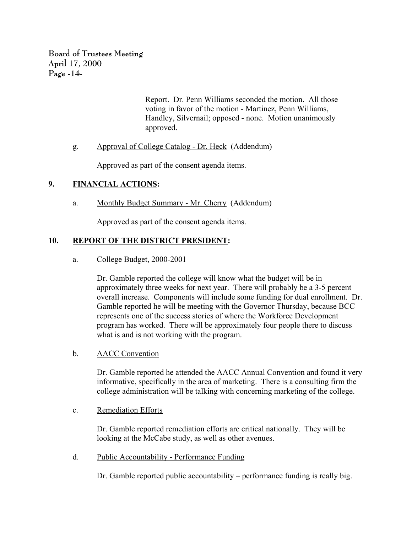**Board of Trustees Meeting April 17, 2000 Page -14-**

> Report. Dr. Penn Williams seconded the motion. All those voting in favor of the motion - Martinez, Penn Williams, Handley, Silvernail; opposed - none. Motion unanimously approved.

## g. Approval of College Catalog - Dr. Heck (Addendum)

Approved as part of the consent agenda items.

# **9. FINANCIAL ACTIONS:**

a. Monthly Budget Summary - Mr. Cherry (Addendum)

Approved as part of the consent agenda items.

# **10. REPORT OF THE DISTRICT PRESIDENT:**

a. College Budget, 2000-2001

Dr. Gamble reported the college will know what the budget will be in approximately three weeks for next year. There will probably be a 3-5 percent overall increase. Components will include some funding for dual enrollment. Dr. Gamble reported he will be meeting with the Governor Thursday, because BCC represents one of the success stories of where the Workforce Development program has worked. There will be approximately four people there to discuss what is and is not working with the program.

b. AACC Convention

Dr. Gamble reported he attended the AACC Annual Convention and found it very informative, specifically in the area of marketing. There is a consulting firm the college administration will be talking with concerning marketing of the college.

c. Remediation Efforts

Dr. Gamble reported remediation efforts are critical nationally. They will be looking at the McCabe study, as well as other avenues.

d. Public Accountability - Performance Funding

Dr. Gamble reported public accountability – performance funding is really big.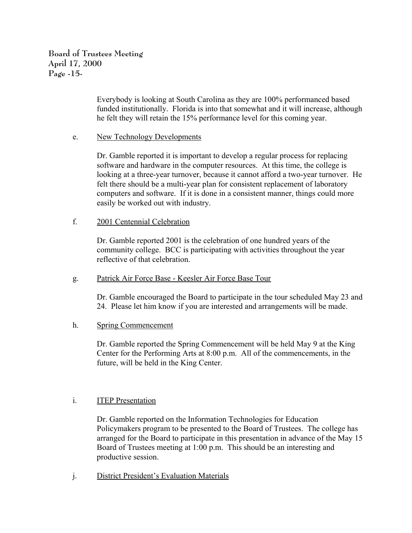**Board of Trustees Meeting April 17, 2000 Page -15-**

> Everybody is looking at South Carolina as they are 100% performanced based funded institutionally. Florida is into that somewhat and it will increase, although he felt they will retain the 15% performance level for this coming year.

### e. New Technology Developments

Dr. Gamble reported it is important to develop a regular process for replacing software and hardware in the computer resources. At this time, the college is looking at a three-year turnover, because it cannot afford a two-year turnover. He felt there should be a multi-year plan for consistent replacement of laboratory computers and software. If it is done in a consistent manner, things could more easily be worked out with industry.

## f. 2001 Centennial Celebration

Dr. Gamble reported 2001 is the celebration of one hundred years of the community college. BCC is participating with activities throughout the year reflective of that celebration.

# g. Patrick Air Force Base - Keesler Air Force Base Tour

Dr. Gamble encouraged the Board to participate in the tour scheduled May 23 and 24. Please let him know if you are interested and arrangements will be made.

### h. Spring Commencement

Dr. Gamble reported the Spring Commencement will be held May 9 at the King Center for the Performing Arts at 8:00 p.m. All of the commencements, in the future, will be held in the King Center.

### i. ITEP Presentation

Dr. Gamble reported on the Information Technologies for Education Policymakers program to be presented to the Board of Trustees. The college has arranged for the Board to participate in this presentation in advance of the May 15 Board of Trustees meeting at 1:00 p.m. This should be an interesting and productive session.

j. District President's Evaluation Materials